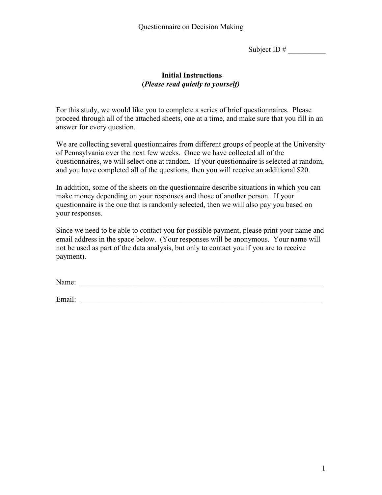Subject ID  $#$ 

## **Initial Instructions (***Please read quietly to yourself)*

For this study, we would like you to complete a series of brief questionnaires. Please proceed through all of the attached sheets, one at a time, and make sure that you fill in an answer for every question.

We are collecting several questionnaires from different groups of people at the University of Pennsylvania over the next few weeks. Once we have collected all of the questionnaires, we will select one at random. If your questionnaire is selected at random, and you have completed all of the questions, then you will receive an additional \$20.

In addition, some of the sheets on the questionnaire describe situations in which you can make money depending on your responses and those of another person. If your questionnaire is the one that is randomly selected, then we will also pay you based on your responses.

Since we need to be able to contact you for possible payment, please print your name and email address in the space below. (Your responses will be anonymous. Your name will not be used as part of the data analysis, but only to contact you if you are to receive payment).

Name:

Email: \_\_\_\_\_\_\_\_\_\_\_\_\_\_\_\_\_\_\_\_\_\_\_\_\_\_\_\_\_\_\_\_\_\_\_\_\_\_\_\_\_\_\_\_\_\_\_\_\_\_\_\_\_\_\_\_\_\_\_\_\_\_\_\_\_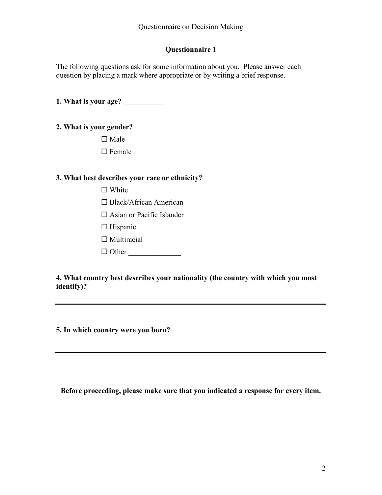## **Questionnaire 1**

The following questions ask for some information about you. Please answer each question by placing a mark where appropriate or by writing a brief response.

**1. What is your age? \_\_\_\_\_\_\_\_\_\_**

# **2. What is your gender?**

 $\Box$  Male

 $\Box$  Female

# **3. What best describes your race or ethnicity?**

 $\Box$  White

□ Black/African American

□ Asian or Pacific Islander

- $\Box$  Hispanic
- $\Box$  Multiracial
- Other \_\_\_\_\_\_\_\_\_\_\_\_\_\_

**4. What country best describes your nationality (the country with which you most identify)?**

**5. In which country were you born?**

**Before proceeding, please make sure that you indicated a response for every item.**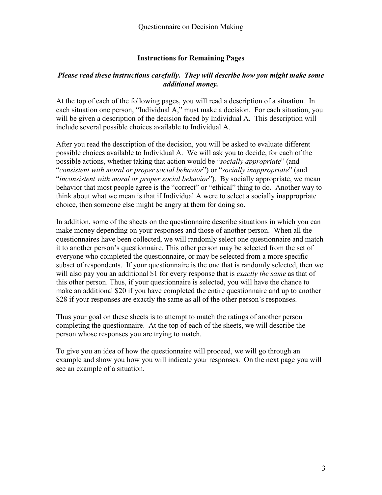#### **Instructions for Remaining Pages**

#### *Please read these instructions carefully. They will describe how you might make some additional money.*

At the top of each of the following pages, you will read a description of a situation. In each situation one person, "Individual A," must make a decision. For each situation, you will be given a description of the decision faced by Individual A. This description will include several possible choices available to Individual A.

After you read the description of the decision, you will be asked to evaluate different possible choices available to Individual A. We will ask you to decide, for each of the possible actions, whether taking that action would be "*socially appropriate*" (and "*consistent with moral or proper social behavior*") or "*socially inappropriate*" (and "*inconsistent with moral or proper social behavior*"). By socially appropriate, we mean behavior that most people agree is the "correct" or "ethical" thing to do. Another way to think about what we mean is that if Individual A were to select a socially inappropriate choice, then someone else might be angry at them for doing so.

In addition, some of the sheets on the questionnaire describe situations in which you can make money depending on your responses and those of another person. When all the questionnaires have been collected, we will randomly select one questionnaire and match it to another person's questionnaire. This other person may be selected from the set of everyone who completed the questionnaire, or may be selected from a more specific subset of respondents. If your questionnaire is the one that is randomly selected, then we will also pay you an additional \$1 for every response that is *exactly the same* as that of this other person. Thus, if your questionnaire is selected, you will have the chance to make an additional \$20 if you have completed the entire questionnaire and up to another \$28 if your responses are exactly the same as all of the other person's responses.

Thus your goal on these sheets is to attempt to match the ratings of another person completing the questionnaire. At the top of each of the sheets, we will describe the person whose responses you are trying to match.

To give you an idea of how the questionnaire will proceed, we will go through an example and show you how you will indicate your responses. On the next page you will see an example of a situation.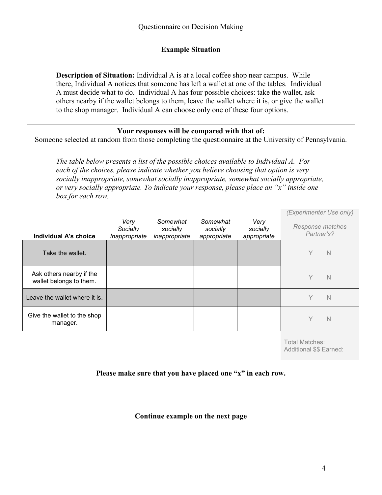# **Example Situation**

**Description of Situation:** Individual A is at a local coffee shop near campus. While there, Individual A notices that someone has left a wallet at one of the tables. Individual A must decide what to do. Individual A has four possible choices: take the wallet, ask others nearby if the wallet belongs to them, leave the wallet where it is, or give the wallet to the shop manager. Individual A can choose only one of these four options.

#### **Your responses will be compared with that of:**

Someone selected at random from those completing the questionnaire at the University of Pennsylvania.

*The table below presents a list of the possible choices available to Individual A. For each of the choices, please indicate whether you believe choosing that option is very socially inappropriate, somewhat socially inappropriate, somewhat socially appropriate, or very socially appropriate. To indicate your response, please place an "x" inside one box for each row.* 

|                                                     |                                   |                                       |                                     |                                 | (Experimenter Use only)        |             |
|-----------------------------------------------------|-----------------------------------|---------------------------------------|-------------------------------------|---------------------------------|--------------------------------|-------------|
| <b>Individual A's choice</b>                        | Very<br>Socially<br>Inappropriate | Somewhat<br>socially<br>inappropriate | Somewhat<br>socially<br>appropriate | Very<br>socially<br>appropriate | Response matches<br>Partner's? |             |
| Take the wallet.                                    |                                   |                                       |                                     |                                 | Υ                              | N           |
| Ask others nearby if the<br>wallet belongs to them. |                                   |                                       |                                     |                                 | Y                              | $\mathbb N$ |
| Leave the wallet where it is.                       |                                   |                                       |                                     |                                 | Υ                              | $\mathbb N$ |
| Give the wallet to the shop<br>manager.             |                                   |                                       |                                     |                                 | Υ                              | N           |

Total Matches: Additional \$\$ Earned:

### **Please make sure that you have placed one "x" in each row.**

### **Continue example on the next page**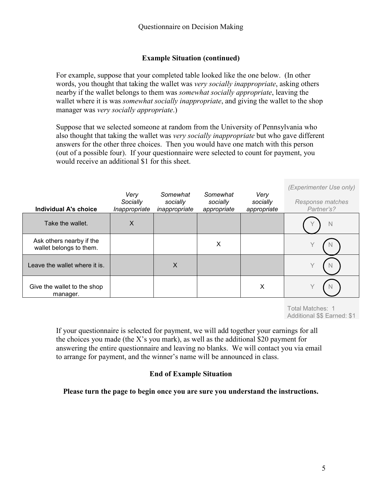## **Example Situation (continued)**

For example, suppose that your completed table looked like the one below. (In other words, you thought that taking the wallet was *very socially inappropriate*, asking others nearby if the wallet belongs to them was *somewhat socially appropriate*, leaving the wallet where it is was *somewhat socially inappropriate*, and giving the wallet to the shop manager was *very socially appropriate*.)

Suppose that we selected someone at random from the University of Pennsylvania who also thought that taking the wallet was *very socially inappropriate* but who gave different answers for the other three choices. Then you would have one match with this person (out of a possible four). If your questionnaire were selected to count for payment, you would receive an additional \$1 for this sheet.

| <b>Individual A's choice</b>                        | Very<br>Socially<br>Inappropriate | Somewhat<br>socially<br>inappropriate | Somewhat<br>socially<br>appropriate | Very<br>socially<br>appropriate | (Experimenter Use only)<br>Response matches<br>Partner's? |
|-----------------------------------------------------|-----------------------------------|---------------------------------------|-------------------------------------|---------------------------------|-----------------------------------------------------------|
| Take the wallet.                                    | X                                 |                                       |                                     |                                 | $\mathbb N$                                               |
| Ask others nearby if the<br>wallet belongs to them. |                                   |                                       | X                                   |                                 |                                                           |
| Leave the wallet where it is.                       |                                   | X                                     |                                     |                                 |                                                           |
| Give the wallet to the shop<br>manager.             |                                   |                                       |                                     | X                               | N                                                         |

Total Matches: 1 Additional \$\$ Earned: \$1

If your questionnaire is selected for payment, we will add together your earnings for all the choices you made (the X's you mark), as well as the additional \$20 payment for answering the entire questionnaire and leaving no blanks. We will contact you via email to arrange for payment, and the winner's name will be announced in class.

# **End of Example Situation**

#### **Please turn the page to begin once you are sure you understand the instructions.**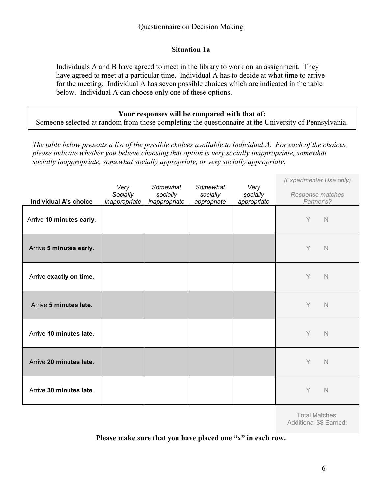### **Situation 1a**

Individuals A and B have agreed to meet in the library to work on an assignment. They have agreed to meet at a particular time. Individual A has to decide at what time to arrive for the meeting. Individual A has seven possible choices which are indicated in the table below. Individual A can choose only one of these options.

#### **Your responses will be compared with that of:**

Someone selected at random from those completing the questionnaire at the University of Pennsylvania.

*The table below presents a list of the possible choices available to Individual A. For each of the choices, please indicate whether you believe choosing that option is very socially inappropriate, somewhat socially inappropriate, somewhat socially appropriate, or very socially appropriate.*

|                              |                  | Somewhat      | Somewhat    |                  | (Experimenter Use only) |
|------------------------------|------------------|---------------|-------------|------------------|-------------------------|
|                              | Very<br>Socially | socially      | socially    | Very<br>socially | Response matches        |
| <b>Individual A's choice</b> | Inappropriate    | inappropriate | appropriate | appropriate      | Partner's?              |
| Arrive 10 minutes early.     |                  |               |             |                  | Y<br>$\mathbb N$        |
| Arrive 5 minutes early.      |                  |               |             |                  | Y<br>N                  |
| Arrive exactly on time.      |                  |               |             |                  | Y<br>$\mathbb N$        |
| Arrive 5 minutes late.       |                  |               |             |                  | Y<br>$\mathbb N$        |
| Arrive 10 minutes late.      |                  |               |             |                  | Y<br>$\mathbb N$        |
| Arrive 20 minutes late.      |                  |               |             |                  | Y<br>$\mathbb N$        |
| Arrive 30 minutes late.      |                  |               |             |                  | Y<br>$\mathbb N$        |

Total Matches: Additional \$\$ Earned: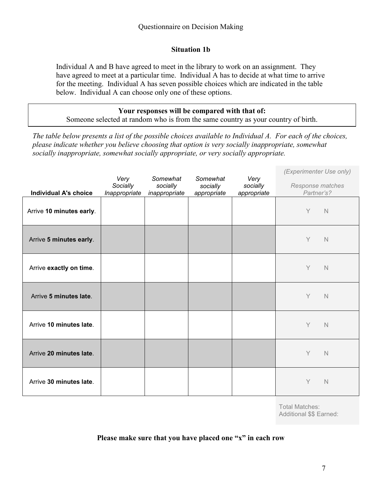### **Situation 1b**

Individual A and B have agreed to meet in the library to work on an assignment. They have agreed to meet at a particular time. Individual A has to decide at what time to arrive for the meeting. Individual A has seven possible choices which are indicated in the table below. Individual A can choose only one of these options.

**Your responses will be compared with that of:** Someone selected at random who is from the same country as your country of birth.

*The table below presents a list of the possible choices available to Individual A. For each of the choices, please indicate whether you believe choosing that option is very socially inappropriate, somewhat socially inappropriate, somewhat socially appropriate, or very socially appropriate.*

|                              | Very          | Somewhat      | Somewhat    | Very        | (Experimenter Use only) |
|------------------------------|---------------|---------------|-------------|-------------|-------------------------|
|                              | Socially      | socially      | socially    | socially    | Response matches        |
| <b>Individual A's choice</b> | Inappropriate | inappropriate | appropriate | appropriate | Partner's?              |
| Arrive 10 minutes early.     |               |               |             |             | Y<br>$\mathbb N$        |
| Arrive 5 minutes early.      |               |               |             |             | Y<br>$\mathbb N$        |
| Arrive exactly on time.      |               |               |             |             | Y<br>$\mathbb N$        |
| Arrive 5 minutes late.       |               |               |             |             | Y<br>$\mathbb N$        |
| Arrive 10 minutes late.      |               |               |             |             | Y<br>$\mathbb N$        |
| Arrive 20 minutes late.      |               |               |             |             | Y<br>$\mathbb N$        |
| Arrive 30 minutes late.      |               |               |             |             | Y<br>$\mathbb N$        |

Total Matches: Additional \$\$ Earned: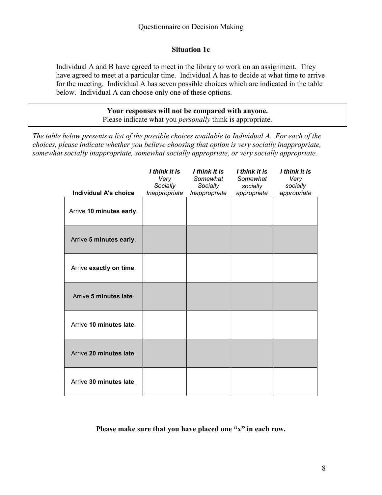### **Situation 1c**

Individual A and B have agreed to meet in the library to work on an assignment. They have agreed to meet at a particular time. Individual A has to decide at what time to arrive for the meeting. Individual A has seven possible choices which are indicated in the table below. Individual A can choose only one of these options.

> **Your responses will not be compared with anyone.** Please indicate what you *personally* think is appropriate.

*The table below presents a list of the possible choices available to Individual A. For each of the choices, please indicate whether you believe choosing that option is very socially inappropriate, somewhat socially inappropriate, somewhat socially appropriate, or very socially appropriate.*

|                          | I think it is<br>Very<br>Socially | I think it is<br>Somewhat<br>Socially | I think it is<br>Somewhat<br>socially | I think it is<br>Very<br>socially |
|--------------------------|-----------------------------------|---------------------------------------|---------------------------------------|-----------------------------------|
| Individual A's choice    | Inappropriate                     | Inappropriate                         | appropriate                           | appropriate                       |
| Arrive 10 minutes early. |                                   |                                       |                                       |                                   |
| Arrive 5 minutes early.  |                                   |                                       |                                       |                                   |
| Arrive exactly on time.  |                                   |                                       |                                       |                                   |
| Arrive 5 minutes late.   |                                   |                                       |                                       |                                   |
| Arrive 10 minutes late.  |                                   |                                       |                                       |                                   |
| Arrive 20 minutes late.  |                                   |                                       |                                       |                                   |
| Arrive 30 minutes late.  |                                   |                                       |                                       |                                   |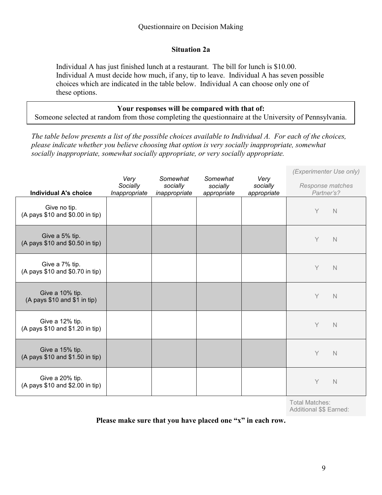### **Situation 2a**

Individual A has just finished lunch at a restaurant. The bill for lunch is \$10.00. Individual A must decide how much, if any, tip to leave. Individual A has seven possible choices which are indicated in the table below. Individual A can choose only one of these options.

#### **Your responses will be compared with that of:**

Someone selected at random from those completing the questionnaire at the University of Pennsylvania.

*The table below presents a list of the possible choices available to Individual A. For each of the choices, please indicate whether you believe choosing that option is very socially inappropriate, somewhat socially inappropriate, somewhat socially appropriate, or very socially appropriate.*

|                                                    | Very<br>Socially | Somewhat<br>socially | Somewhat<br>socially | Very<br>socially | (Experimenter Use only)<br>Response matches |
|----------------------------------------------------|------------------|----------------------|----------------------|------------------|---------------------------------------------|
| <b>Individual A's choice</b>                       | Inappropriate    | inappropriate        | appropriate          | appropriate      | Partner's?                                  |
| Give no tip.<br>(A pays \$10 and \$0.00 in tip)    |                  |                      |                      |                  | Y<br>$\mathbb N$                            |
| Give a 5% tip.<br>(A pays \$10 and \$0.50 in tip)  |                  |                      |                      |                  | Y<br>$\mathbb N$                            |
| Give a 7% tip.<br>(A pays \$10 and \$0.70 in tip)  |                  |                      |                      |                  | Y<br>$\mathbb N$                            |
| Give a 10% tip.<br>(A pays \$10 and \$1 in tip)    |                  |                      |                      |                  | Y<br>$\mathbb N$                            |
| Give a 12% tip.<br>(A pays \$10 and \$1.20 in tip) |                  |                      |                      |                  | Y<br>$\mathbb N$                            |
| Give a 15% tip.<br>(A pays \$10 and \$1.50 in tip) |                  |                      |                      |                  | Y<br>$\mathbb N$                            |
| Give a 20% tip.<br>(A pays \$10 and \$2.00 in tip) |                  |                      |                      |                  | Y<br>$\mathbb N$                            |

Total Matches: Additional \$\$ Earned: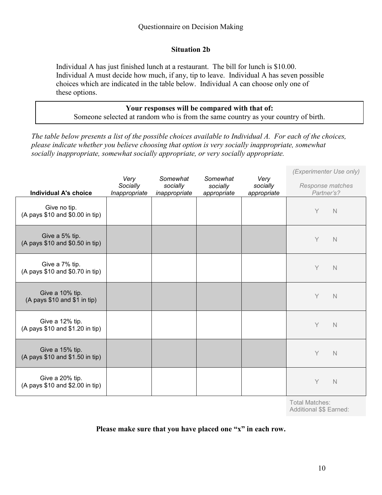### **Situation 2b**

Individual A has just finished lunch at a restaurant. The bill for lunch is \$10.00. Individual A must decide how much, if any, tip to leave. Individual A has seven possible choices which are indicated in the table below. Individual A can choose only one of these options.

**Your responses will be compared with that of:** Someone selected at random who is from the same country as your country of birth.

*The table below presents a list of the possible choices available to Individual A. For each of the choices, please indicate whether you believe choosing that option is very socially inappropriate, somewhat socially inappropriate, somewhat socially appropriate, or very socially appropriate.*

|                                                    | Very                      | Somewhat                  | Somewhat                | Very                    | (Experimenter Use only)        |
|----------------------------------------------------|---------------------------|---------------------------|-------------------------|-------------------------|--------------------------------|
| <b>Individual A's choice</b>                       | Socially<br>Inappropriate | socially<br>inappropriate | socially<br>appropriate | socially<br>appropriate | Response matches<br>Partner's? |
| Give no tip.<br>(A pays \$10 and \$0.00 in tip)    |                           |                           |                         |                         | Y<br>$\mathbb N$               |
| Give a 5% tip.<br>(A pays \$10 and \$0.50 in tip)  |                           |                           |                         |                         | Y<br>$\mathbb N$               |
| Give a 7% tip.<br>(A pays \$10 and \$0.70 in tip)  |                           |                           |                         |                         | Y<br>$\mathbb N$               |
| Give a 10% tip.<br>(A pays \$10 and \$1 in tip)    |                           |                           |                         |                         | Y<br>$\mathbb N$               |
| Give a 12% tip.<br>(A pays \$10 and \$1.20 in tip) |                           |                           |                         |                         | Y<br>$\mathbb N$               |
| Give a 15% tip.<br>(A pays \$10 and \$1.50 in tip) |                           |                           |                         |                         | Y<br>$\mathbb N$               |
| Give a 20% tip.<br>(A pays \$10 and \$2.00 in tip) |                           |                           |                         |                         | Y<br>$\mathbb N$               |

Total Matches: Additional \$\$ Earned: